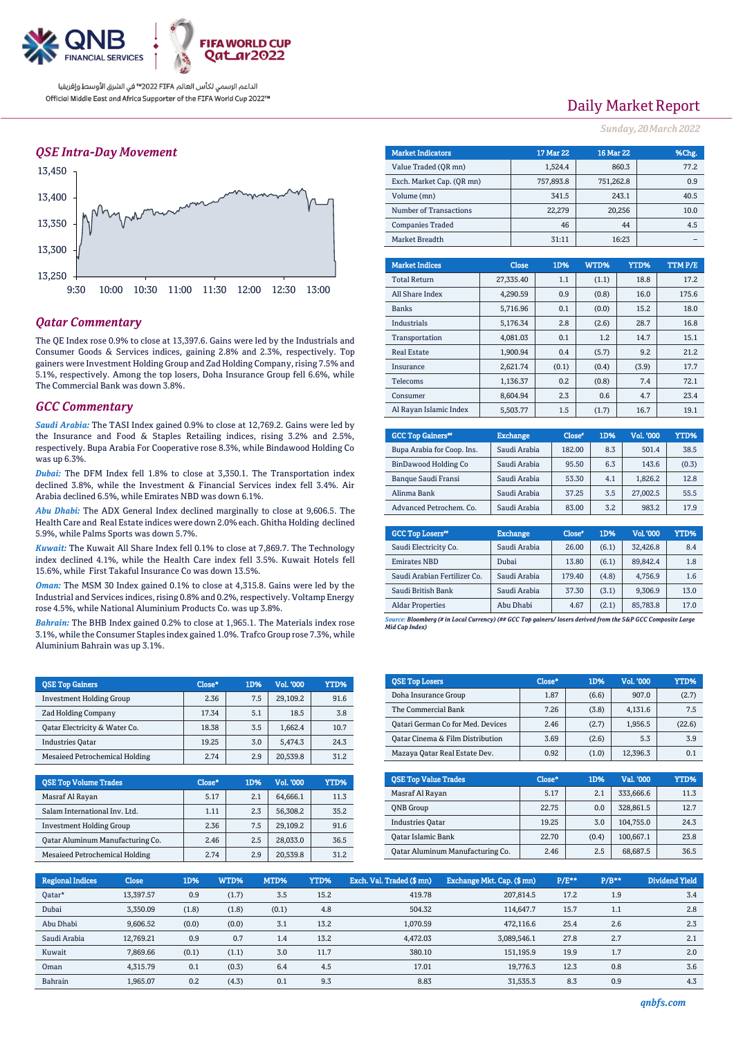

### *QSE Intra-Day Movement*



### *Qatar Commentary*

The QE Index rose 0.9% to close at 13,397.6. Gains were led by the Industrials and Consumer Goods & Services indices, gaining 2.8% and 2.3%, respectively. Top gainers were Investment Holding Group and Zad Holding Company, rising 7.5% and 5.1%, respectively. Among the top losers, Doha Insurance Group fell 6.6%, while The Commercial Bank was down 3.8%.

#### *GCC Commentary*

*Saudi Arabia:* The TASI Index gained 0.9% to close at 12,769.2. Gains were led by the Insurance and Food & Staples Retailing indices, rising 3.2% and 2.5%, respectively. Bupa Arabia For Cooperative rose 8.3%, while Bindawood Holding Co was up 6.3%.

*Dubai:* The DFM Index fell 1.8% to close at 3,350.1. The Transportation index declined 3.8%, while the Investment & Financial Services index fell 3.4%. Air Arabia declined 6.5%, while Emirates NBD was down 6.1%.

*Abu Dhabi:* The ADX General Index declined marginally to close at 9,606.5. The Health Care and Real Estate indices were down 2.0% each. Ghitha Holding declined 5.9%, while Palms Sports was down 5.7%.

*Kuwait:* The Kuwait All Share Index fell 0.1% to close at 7,869.7. The Technology index declined 4.1%, while the Health Care index fell 3.5%. Kuwait Hotels fell 15.6%, while First Takaful Insurance Co was down 13.5%.

*Oman:* The MSM 30 Index gained 0.1% to close at 4,315.8. Gains were led by the Industrial and Services indices, rising 0.8% and 0.2%, respectively. Voltamp Energy rose 4.5%, while National Aluminium Products Co. was up 3.8%.

*Bahrain:* The BHB Index gained 0.2% to close at 1,965.1. The Materials index rose 3.1%, while the Consumer Staples index gained 1.0%. Trafco Group rose 7.3%, while Aluminium Bahrain was up 3.1%.

| <b>OSE Top Gainers</b>          | Close* | 1D% | Vol. '000 | YTD% |
|---------------------------------|--------|-----|-----------|------|
| <b>Investment Holding Group</b> | 2.36   | 7.5 | 29.109.2  | 91.6 |
| <b>Zad Holding Company</b>      | 17.34  | 5.1 | 18.5      | 3.8  |
| Oatar Electricity & Water Co.   | 18.38  | 3.5 | 1.662.4   | 10.7 |
| <b>Industries Oatar</b>         | 19.25  | 3.0 | 5.474.3   | 24.3 |
| Mesaieed Petrochemical Holding  | 2.74   | 2.9 | 20,539.8  | 31.2 |

| <b>QSE Top Volume Trades</b>            | Close* | 1D% | Vol. '000 | YTD% |
|-----------------------------------------|--------|-----|-----------|------|
| Masraf Al Rayan                         | 5.17   | 2.1 | 64.666.1  | 11.3 |
| Salam International Inv. Ltd.           | 1.11   | 2.3 | 56.308.2  | 35.2 |
| <b>Investment Holding Group</b>         | 2.36   | 7.5 | 29.109.2  | 91.6 |
| <b>Qatar Aluminum Manufacturing Co.</b> | 2.46   | 2.5 | 28.033.0  | 36.5 |
| <b>Mesaieed Petrochemical Holding</b>   | 2.74   | 2.9 | 20,539.8  | 31 2 |

# Daily Market Report

*Sunday, 20March2022*

| <b>Market Indicators</b>  | 17 Mar 22 | 16 Mar 22 | %Chg. |
|---------------------------|-----------|-----------|-------|
| Value Traded (OR mn)      | 1,524.4   | 860.3     | 77.2  |
| Exch. Market Cap. (OR mn) | 757,893.8 | 751,262.8 | 0.9   |
| Volume (mn)               | 341.5     | 243.1     | 40.5  |
| Number of Transactions    | 22,279    | 20,256    | 10.0  |
| <b>Companies Traded</b>   | 46        | 44        | 4.5   |
| Market Breadth            | 31:11     | 16:23     |       |
|                           |           |           |       |

| <b>Market Indices</b>  | <b>Close</b> | 1D%   | WTD%  | YTD%  | TTMP/E |
|------------------------|--------------|-------|-------|-------|--------|
| <b>Total Return</b>    | 27,335.40    | 1.1   | (1.1) | 18.8  | 17.2   |
| All Share Index        | 4.290.59     | 0.9   | (0.8) | 16.0  | 175.6  |
| <b>Banks</b>           | 5,716.96     | 0.1   | (0.0) | 15.2  | 18.0   |
| Industrials            | 5,176.34     | 2.8   | (2.6) | 28.7  | 16.8   |
| Transportation         | 4,081.03     | 0.1   | 1.2   | 14.7  | 15.1   |
| <b>Real Estate</b>     | 1.900.94     | 0.4   | (5.7) | 9.2   | 21.2   |
| Insurance              | 2.621.74     | (0.1) | (0.4) | (3.9) | 17.7   |
| Telecoms               | 1.136.37     | 0.2   | (0.8) | 7.4   | 72.1   |
| Consumer               | 8.604.94     | 2.3   | 0.6   | 4.7   | 23.4   |
| Al Rayan Islamic Index | 5.503.77     | 1.5   | (1.7) | 16.7  | 19.1   |

| <b>GCC Top Gainers**</b>   | <b>Exchange</b> | Close* | 1D% | Vol. '000 | YTD%  |
|----------------------------|-----------------|--------|-----|-----------|-------|
| Bupa Arabia for Coop. Ins. | Saudi Arabia    | 182.00 | 8.3 | 501.4     | 38.5  |
| BinDawood Holding Co       | Saudi Arabia    | 95.50  | 6.3 | 143.6     | (0.3) |
| <b>Banque Saudi Fransi</b> | Saudi Arabia    | 53.30  | 4.1 | 1.826.2   | 12.8  |
| Alinma Bank                | Saudi Arabia    | 37.25  | 3.5 | 27,002.5  | 55.5  |
| Advanced Petrochem. Co.    | Saudi Arabia    | 83.00  | 3.2 | 983.2     | 17.9  |

| <b>GCC Top Losers</b> "      | <b>Exchange</b> | Close <sup>®</sup> | 1D%   | Vol. '000 | YTD% |
|------------------------------|-----------------|--------------------|-------|-----------|------|
| Saudi Electricity Co.        | Saudi Arabia    | 26.00              | (6.1) | 32.426.8  | 8.4  |
| <b>Emirates NBD</b>          | Dubai           | 13.80              | (6.1) | 89.842.4  | 1.8  |
| Saudi Arabian Fertilizer Co. | Saudi Arabia    | 179.40             | (4.8) | 4,756.9   | 1.6  |
| Saudi British Bank           | Saudi Arabia    | 37.30              | (3.1) | 9,306.9   | 13.0 |
| <b>Aldar Properties</b>      | Abu Dhabi       | 4.67               | (2.1) | 85,783.8  | 17.0 |

*Source: Bloomberg (# in Local Currency) (## GCC Top gainers/ losers derived from the S&P GCC Composite Large Mid Cap Index)*

| <b>QSE Top Losers</b>             | Close* | 1D%   | <b>Vol. '000</b> | <b>YTD%</b> |
|-----------------------------------|--------|-------|------------------|-------------|
| Doha Insurance Group              | 1.87   | (6.6) | 907.0            | (2.7)       |
| The Commercial Bank               | 7.26   | (3.8) | 4.131.6          | 7.5         |
| Qatari German Co for Med. Devices | 2.46   | (2.7) | 1.956.5          | (22.6)      |
| Oatar Cinema & Film Distribution  | 3.69   | (2.6) | 5.3              | 3.9         |
| Mazaya Qatar Real Estate Dev.     | 0.92   | (1.0) | 12,396.3         | 0.1         |

| <b>OSE Top Value Trades</b>      | Close* | 1D%   | Val. '000 | YTD% |
|----------------------------------|--------|-------|-----------|------|
| Masraf Al Rayan                  | 5.17   | 2.1   | 333,666.6 | 11.3 |
| <b>ONB</b> Group                 | 22.75  | 0.0   | 328,861.5 | 12.7 |
| <b>Industries Oatar</b>          | 19.25  | 3.0   | 104.755.0 | 24.3 |
| Qatar Islamic Bank               | 22.70  | (0.4) | 100.667.1 | 23.8 |
| Oatar Aluminum Manufacturing Co. | 2.46   | 2.5   | 68.687.5  | 36.5 |

| <b>Regional Indices</b> | <b>Close</b> | 1D%   | WTD%  | MTD%  | YTD% | Exch. Val. Traded (\$mn) | Exchange Mkt. Cap. (\$ mn) | $P/E***$ | $P/B**$ | Dividend Yield |
|-------------------------|--------------|-------|-------|-------|------|--------------------------|----------------------------|----------|---------|----------------|
| Qatar*                  | 13.397.57    | 0.9   | (1.7) | 3.5   | 15.2 | 419.78                   | 207.814.5                  | 17.2     | 1.9     | 3.4            |
| Dubai                   | 3.350.09     | (1.8) | (1.8) | (0.1) | 4.8  | 504.32                   | 114,647.7                  | 15.7     | 1.1     | 2.8            |
| Abu Dhabi               | 9.606.52     | (0.0) | (0.0) | 3.1   | 13.2 | 1.070.59                 | 472.116.6                  | 25.4     | 2.6     | 2.3            |
| Saudi Arabia            | 12.769.21    | 0.9   | 0.7   | 1.4   | 13.2 | 4.472.03                 | 3,089,546.1                | 27.8     | 2.7     | 2.1            |
| Kuwait                  | 7.869.66     | (0.1) | (1.1) | 3.0   | 11.7 | 380.10                   | 151.195.9                  | 19.9     | 1.7     | 2.0            |
| Oman                    | 4.315.79     | 0.1   | (0.3) | 6.4   | 4.5  | 17.01                    | 19.776.3                   | 12.3     | 0.8     | 3.6            |
| Bahrain                 | 1.965.07     | 0.2   | (4.3) | 0.1   | 9.3  | 8.83                     | 31.535.3                   | 8.3      | 0.9     | 4.3            |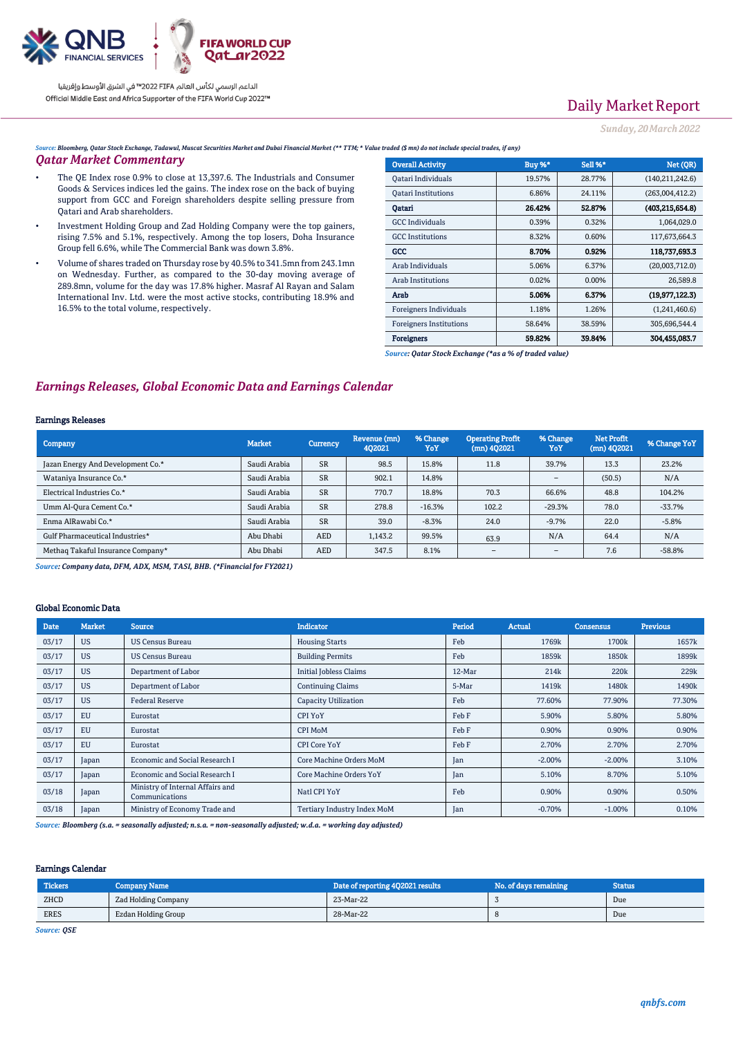

# Daily Market Report

*Sunday, 20March2022*

*Source: Bloomberg, Qatar Stock Exchange, Tadawul, Muscat Securities Market and Dubai Financial Market (\*\* TTM; \* Value traded (\$ mn) do not include special trades, if any)*

#### *Qatar Market Commentary*

- The QE Index rose 0.9% to close at 13,397.6. The Industrials and Consumer Goods & Services indices led the gains. The index rose on the back of buying support from GCC and Foreign shareholders despite selling pressure from Qatari and Arab shareholders.
- Investment Holding Group and Zad Holding Company were the top gainers, rising 7.5% and 5.1%, respectively. Among the top losers, Doha Insurance Group fell 6.6%, while The Commercial Bank was down 3.8%.
- Volume of shares traded on Thursday rose by 40.5% to 341.5mn from 243.1mn on Wednesday. Further, as compared to the 30-day moving average of 289.8mn, volume for the day was 17.8% higher. Masraf Al Rayan and Salam International Inv. Ltd. were the most active stocks, contributing 18.9% and 16.5% to the total volume, respectively.

| <b>Overall Activity</b>        | <b>Buy %*</b> | Sell %* | Net (QR)          |
|--------------------------------|---------------|---------|-------------------|
| Qatari Individuals             | 19.57%        | 28.77%  | (140, 211, 242.6) |
| <b>Oatari Institutions</b>     | 6.86%         | 24.11%  | (263,004,412.2)   |
| Oatari                         | 26.42%        | 52.87%  | (403.215.654.8)   |
| <b>GCC</b> Individuals         | 0.39%         | 0.32%   | 1,064,029.0       |
| <b>GCC</b> Institutions        | 8.32%         | 0.60%   | 117,673,664.3     |
| GCC                            | 8.70%         | 0.92%   | 118,737,693.3     |
| Arab Individuals               | 5.06%         | 6.37%   | (20,003,712.0)    |
| <b>Arab Institutions</b>       | 0.02%         | 0.00%   | 26,589.8          |
| Arab                           | 5.06%         | 6.37%   | (19, 977, 122.3)  |
| Foreigners Individuals         | 1.18%         | 1.26%   | (1,241,460.6)     |
| <b>Foreigners Institutions</b> | 58.64%        | 38.59%  | 305,696,544.4     |
| <b>Foreigners</b>              | 59.82%        | 39.84%  | 304.455.083.7     |

*Source: Qatar Stock Exchange (\*as a % of traded value)*

### *Earnings Releases, Global Economic Data and Earnings Calendar*

#### Earnings Releases

| <b>Company</b>                    | <b>Market</b> | <b>Currency</b> | Revenue (mn)<br>402021 | % Change<br>YoY | <b>Operating Profit</b><br>$(mn)$ 4Q2021 | % Change<br>YoY          | Net Profit<br>(mn) 4Q2021 | % Change YoY |
|-----------------------------------|---------------|-----------------|------------------------|-----------------|------------------------------------------|--------------------------|---------------------------|--------------|
| Jazan Energy And Development Co.* | Saudi Arabia  | <b>SR</b>       | 98.5                   | 15.8%           | 11.8                                     | 39.7%                    | 13.3                      | 23.2%        |
| Wataniya Insurance Co.*           | Saudi Arabia  | <b>SR</b>       | 902.1                  | 14.8%           |                                          | $\overline{\phantom{a}}$ | (50.5)                    | N/A          |
| Electrical Industries Co.*        | Saudi Arabia  | <b>SR</b>       | 770.7                  | 18.8%           | 70.3                                     | 66.6%                    | 48.8                      | 104.2%       |
| Umm Al-Qura Cement Co.*           | Saudi Arabia  | <b>SR</b>       | 278.8                  | $-16.3%$        | 102.2                                    | $-29.3%$                 | 78.0                      | $-33.7%$     |
| Enma AlRawabi Co.*                | Saudi Arabia  | <b>SR</b>       | 39.0                   | $-8.3%$         | 24.0                                     | $-9.7%$                  | 22.0                      | $-5.8%$      |
| Gulf Pharmaceutical Industries*   | Abu Dhabi     | AED             | 1,143.2                | 99.5%           | 63.9                                     | N/A                      | 64.4                      | N/A          |
| Methaq Takaful Insurance Company* | Abu Dhabi     | <b>AED</b>      | 347.5                  | 8.1%            | $\overline{\phantom{a}}$                 | $\overline{\phantom{a}}$ | 7.6                       | $-58.8%$     |

*Source: Company data, DFM, ADX, MSM, TASI, BHB. (\*Financial for FY2021)*

#### Global Economic Data

| <b>Date</b> | <b>Market</b> | <b>Source</b>                                      | <b>Indicator</b>              | Period     | <b>Actual</b> | Consensus | <b>Previous</b> |
|-------------|---------------|----------------------------------------------------|-------------------------------|------------|---------------|-----------|-----------------|
| 03/17       | <b>US</b>     | <b>US Census Bureau</b>                            | <b>Housing Starts</b>         | Feb        | 1769k         | 1700k     | 1657k           |
| 03/17       | <b>US</b>     | <b>US Census Bureau</b>                            | <b>Building Permits</b>       | Feb        | 1859k         | 1850k     | 1899k           |
| 03/17       | <b>US</b>     | Department of Labor                                | <b>Initial Jobless Claims</b> | 12-Mar     | 214k          | 220k      | 229k            |
| 03/17       | <b>US</b>     | Department of Labor                                | <b>Continuing Claims</b>      | 5-Mar      | 1419k         | 1480k     | 1490k           |
| 03/17       | <b>US</b>     | <b>Federal Reserve</b>                             | <b>Capacity Utilization</b>   | Feb        | 77.60%        | 77.90%    | 77.30%          |
| 03/17       | <b>EU</b>     | Eurostat                                           | CPI YoY                       | Feb F      | 5.90%         | 5.80%     | 5.80%           |
| 03/17       | <b>EU</b>     | Eurostat                                           | CPI MoM                       | Feb F      | 0.90%         | 0.90%     | 0.90%           |
| 03/17       | EU            | Eurostat                                           | <b>CPI Core YoY</b>           | Feb F      | 2.70%         | 2.70%     | 2.70%           |
| 03/17       | Japan         | Economic and Social Research I                     | Core Machine Orders MoM       | Jan        | $-2.00%$      | $-2.00%$  | 3.10%           |
| 03/17       | Japan         | Economic and Social Research I                     | Core Machine Orders YoY       | Jan        | 5.10%         | 8.70%     | 5.10%           |
| 03/18       | Japan         | Ministry of Internal Affairs and<br>Communications | Natl CPI YoY                  | Feb        | 0.90%         | 0.90%     | 0.50%           |
| 03/18       | Japan         | Ministry of Economy Trade and                      | Tertiary Industry Index MoM   | <b>Jan</b> | $-0.70%$      | $-1.00%$  | 0.10%           |

*Source: Bloomberg (s.a. = seasonally adjusted; n.s.a. = non-seasonally adjusted; w.d.a. = working day adjusted)*

#### Earnings Calendar

| Tickers     | Company Name        | Date of reporting 4Q2021 results | No. of days remaining | <b>Status</b> |
|-------------|---------------------|----------------------------------|-----------------------|---------------|
| ZHCD        | Zad Holding Company | 23-Mar-22                        |                       | Due           |
| <b>ERES</b> | Ezdan Holding Group | 28-Mar-22                        |                       | Due           |

*Source: QSE*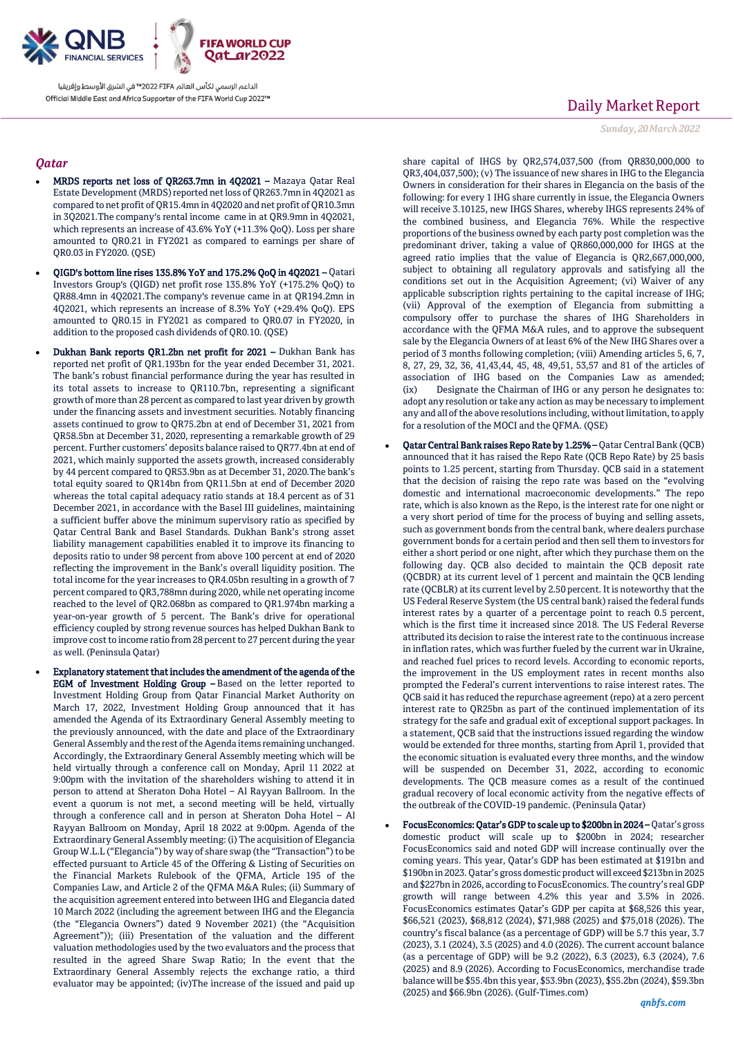

## *Qatar*

- MRDS reports net loss of QR263.7mn in 4Q2021 Mazaya Qatar Real Estate Development (MRDS) reported net loss of QR263.7mn in 4Q2021 as compared to net profit of QR15.4mn in 4Q2020 and net profit of QR10.3mn in 3Q2021.The company's rental income came in at QR9.9mn in 4Q2021, which represents an increase of 43.6% YoY (+11.3% QoQ). Loss per share amounted to QR0.21 in FY2021 as compared to earnings per share of QR0.03 in FY2020. (QSE)
- QIGD's bottom line rises 135.8% YoY and 175.2% QoQ in 4Q2021 Qatari Investors Group's (QIGD) net profit rose 135.8% YoY (+175.2% QoQ) to QR88.4mn in 4Q2021.The company's revenue came in at QR194.2mn in 4Q2021, which represents an increase of 8.3% YoY (+29.4% QoQ). EPS amounted to QR0.15 in FY2021 as compared to QR0.07 in FY2020, in addition to the proposed cash dividends of QR0.10. (QSE)
- Dukhan Bank reports QR1.2bn net profit for 2021 Dukhan Bank has reported net profit of QR1.193bn for the year ended December 31, 2021. The bank's robust financial performance during the year has resulted in its total assets to increase to QR110.7bn, representing a significant growth of more than 28 percent as compared to last year driven by growth under the financing assets and investment securities. Notably financing assets continued to grow to QR75.2bn at end of December 31, 2021 from QR58.5bn at December 31, 2020, representing a remarkable growth of 29 percent. Further customers' deposits balance raised to QR77.4bn at end of 2021, which mainly supported the assets growth, increased considerably by 44 percent compared to QR53.9bn as at December 31, 2020.The bank's total equity soared to QR14bn from QR11.5bn at end of December 2020 whereas the total capital adequacy ratio stands at 18.4 percent as of 31 December 2021, in accordance with the Basel III guidelines, maintaining a sufficient buffer above the minimum supervisory ratio as specified by Qatar Central Bank and Basel Standards. Dukhan Bank's strong asset liability management capabilities enabled it to improve its financing to deposits ratio to under 98 percent from above 100 percent at end of 2020 reflecting the improvement in the Bank's overall liquidity position. The total income for the year increases to QR4.05bn resulting in a growth of 7 percent compared to QR3,788mn during 2020, while net operating income reached to the level of QR2.068bn as compared to QR1.974bn marking a year-on-year growth of 5 percent. The Bank's drive for operational efficiency coupled by strong revenue sources has helped Dukhan Bank to improve cost to income ratio from 28 percent to 27 percent during the year as well. (Peninsula Qatar)
	- Explanatory statement that includes the amendment of the agenda of the EGM of Investment Holding Group – Based on the letter reported to Investment Holding Group from Qatar Financial Market Authority on March 17, 2022, Investment Holding Group announced that it has amended the Agenda of its Extraordinary General Assembly meeting to the previously announced, with the date and place of the Extraordinary General Assembly and the rest of the Agenda items remaining unchanged. Accordingly, the Extraordinary General Assembly meeting which will be held virtually through a conference call on Monday, April 11 2022 at 9:00pm with the invitation of the shareholders wishing to attend it in person to attend at Sheraton Doha Hotel – Al Rayyan Ballroom. In the event a quorum is not met, a second meeting will be held, virtually through a conference call and in person at Sheraton Doha Hotel – Al Rayyan Ballroom on Monday, April 18 2022 at 9:00pm. Agenda of the Extraordinary General Assembly meeting: (i) The acquisition of Elegancia Group W.L.L ("Elegancia") by way of share swap (the "Transaction") to be effected pursuant to Article 45 of the Offering & Listing of Securities on the Financial Markets Rulebook of the QFMA, Article 195 of the Companies Law, and Article 2 of the QFMA M&A Rules; (ii) Summary of the acquisition agreement entered into between IHG and Elegancia dated 10 March 2022 (including the agreement between IHG and the Elegancia (the "Elegancia Owners") dated 9 November 2021) (the "Acquisition Agreement")); (iii) Presentation of the valuation and the different valuation methodologies used by the two evaluators and the process that resulted in the agreed Share Swap Ratio; In the event that the Extraordinary General Assembly rejects the exchange ratio, a third evaluator may be appointed; (iv)The increase of the issued and paid up

# Daily Market Report

*Sunday, 20March2022*

share capital of IHGS by QR2,574,037,500 (from QR830,000,000 to QR3,404,037,500); (v) The issuance of new shares in IHG to the Elegancia Owners in consideration for their shares in Elegancia on the basis of the following: for every 1 IHG share currently in issue, the Elegancia Owners will receive 3.10125, new IHGS Shares, whereby IHGS represents 24% of the combined business, and Elegancia 76%. While the respective proportions of the business owned by each party post completion was the predominant driver, taking a value of QR860,000,000 for IHGS at the agreed ratio implies that the value of Elegancia is QR2,667,000,000, subject to obtaining all regulatory approvals and satisfying all the conditions set out in the Acquisition Agreement; (vi) Waiver of any applicable subscription rights pertaining to the capital increase of IHG; (vii) Approval of the exemption of Elegancia from submitting a compulsory offer to purchase the shares of IHG Shareholders in accordance with the QFMA M&A rules, and to approve the subsequent sale by the Elegancia Owners of at least 6% of the New IHG Shares over a period of 3 months following completion; (viii) Amending articles 5, 6, 7, 8, 27, 29, 32, 36, 41,43,44, 45, 48, 49,51, 53,57 and 81 of the articles of association of IHG based on the Companies Law as amended; (ix) Designate the Chairman of IHG or any person he designates to: adopt any resolution or take any action as may be necessary to implement any and all of the above resolutions including, without limitation, to apply for a resolution of the MOCI and the QFMA. (QSE)

- Qatar Central Bank raises Repo Rate by 1.25% Qatar Central Bank (QCB) announced that it has raised the Repo Rate (QCB Repo Rate) by 25 basis points to 1.25 percent, starting from Thursday. QCB said in a statement that the decision of raising the repo rate was based on the "evolving domestic and international macroeconomic developments." The repo rate, which is also known as the Repo, is the interest rate for one night or a very short period of time for the process of buying and selling assets, such as government bonds from the central bank, where dealers purchase government bonds for a certain period and then sell them to investors for either a short period or one night, after which they purchase them on the following day. QCB also decided to maintain the QCB deposit rate (QCBDR) at its current level of 1 percent and maintain the QCB lending rate (QCBLR) at its current level by 2.50 percent. It is noteworthy that the US Federal Reserve System (the US central bank) raised the federal funds interest rates by a quarter of a percentage point to reach 0.5 percent, which is the first time it increased since 2018. The US Federal Reverse attributed its decision to raise the interest rate to the continuous increase in inflation rates, which was further fueled by the current war in Ukraine, and reached fuel prices to record levels. According to economic reports, the improvement in the US employment rates in recent months also prompted the Federal's current interventions to raise interest rates. The QCB said it has reduced the repurchase agreement (repo) at a zero percent interest rate to QR25bn as part of the continued implementation of its strategy for the safe and gradual exit of exceptional support packages. In a statement, QCB said that the instructions issued regarding the window would be extended for three months, starting from April 1, provided that the economic situation is evaluated every three months, and the window will be suspended on December 31, 2022, according to economic developments. The QCB measure comes as a result of the continued gradual recovery of local economic activity from the negative effects of the outbreak of the COVID-19 pandemic. (Peninsula Qatar)
- FocusEconomics: Qatar's GDP to scale up to \$200bn in 2024 Qatar's gross domestic product will scale up to \$200bn in 2024; researcher FocusEconomics said and noted GDP will increase continually over the coming years. This year, Qatar's GDP has been estimated at \$191bn and \$190bn in 2023. Qatar's gross domestic product will exceed \$213bn in 2025 and \$227bn in 2026, according to FocusEconomics. The country's real GDP growth will range between 4.2% this year and 3.5% in 2026. FocusEconomics estimates Qatar's GDP per capita at \$68,526 this year, \$66,521 (2023), \$68,812 (2024), \$71,988 (2025) and \$75,018 (2026). The country's fiscal balance (as a percentage of GDP) will be 5.7 this year, 3.7 (2023), 3.1 (2024), 3.5 (2025) and 4.0 (2026). The current account balance (as a percentage of GDP) will be 9.2 (2022), 6.3 (2023), 6.3 (2024), 7.6 (2025) and 8.9 (2026). According to FocusEconomics, merchandise trade balance will be \$55.4bn this year, \$53.9bn (2023), \$55.2bn (2024), \$59.3bn (2025) and \$66.9bn (2026). (Gulf-Times.com)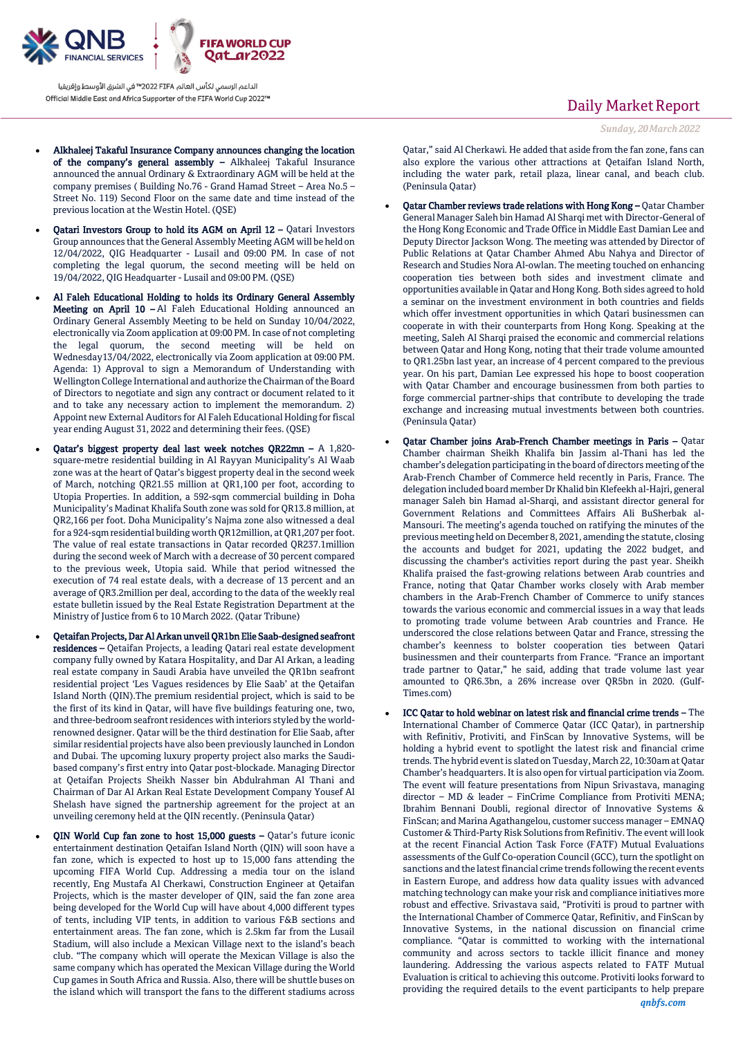

- Alkhaleej Takaful Insurance Company announces changing the location of the company's general assembly – Alkhaleej Takaful Insurance announced the annual Ordinary & Extraordinary AGM will be held at the company premises ( Building No.76 - Grand Hamad Street – Area No.5 – Street No. 119) Second Floor on the same date and time instead of the previous location at the Westin Hotel. (QSE)
- Qatari Investors Group to hold its AGM on April 12 Qatari Investors Group announces that the General Assembly Meeting AGM will be held on 12/04/2022, QIG Headquarter - Lusail and 09:00 PM. In case of not completing the legal quorum, the second meeting will be held on 19/04/2022, QIG Headquarter - Lusail and 09:00 PM. (QSE)
- Al Faleh Educational Holding to holds its Ordinary General Assembly Meeting on April 10 – Al Faleh Educational Holding announced an Ordinary General Assembly Meeting to be held on Sunday 10/04/2022, electronically via Zoom application at 09:00 PM. In case of not completing the legal quorum, the second meeting will be held on Wednesday13/04/2022, electronically via Zoom application at 09:00 PM. Agenda: 1) Approval to sign a Memorandum of Understanding with Wellington College International and authorize the Chairman of the Board of Directors to negotiate and sign any contract or document related to it and to take any necessary action to implement the memorandum. 2) Appoint new External Auditors for Al Faleh Educational Holding for fiscal year ending August 31, 2022 and determining their fees. (QSE)
- Qatar's biggest property deal last week notches QR22mn A 1,820 square-metre residential building in Al Rayyan Municipality's Al Waab zone was at the heart of Qatar's biggest property deal in the second week of March, notching QR21.55 million at QR1,100 per foot, according to Utopia Properties. In addition, a 592-sqm commercial building in Doha Municipality's Madinat Khalifa South zone was sold for QR13.8 million, at QR2,166 per foot. Doha Municipality's Najma zone also witnessed a deal for a 924-sqm residential building worth QR12million, at QR1,207 per foot. The value of real estate transactions in Qatar recorded QR237.1million during the second week of March with a decrease of 30 percent compared to the previous week, Utopia said. While that period witnessed the execution of 74 real estate deals, with a decrease of 13 percent and an average of QR3.2million per deal, according to the data of the weekly real estate bulletin issued by the Real Estate Registration Department at the Ministry of Justice from 6 to 10 March 2022. (Qatar Tribune)
- Qetaifan Projects, Dar Al Arkan unveil QR1bn Elie Saab-designed seafront residences – Qetaifan Projects, a leading Qatari real estate development company fully owned by Katara Hospitality, and Dar Al Arkan, a leading real estate company in Saudi Arabia have unveiled the QR1bn seafront residential project 'Les Vagues residences by Elie Saab' at the Qetaifan Island North (QIN).The premium residential project, which is said to be the first of its kind in Qatar, will have five buildings featuring one, two, and three-bedroom seafront residences with interiors styled by the worldrenowned designer. Qatar will be the third destination for Elie Saab, after similar residential projects have also been previously launched in London and Dubai. The upcoming luxury property project also marks the Saudibased company's first entry into Qatar post-blockade. Managing Director at Qetaifan Projects Sheikh Nasser bin Abdulrahman Al Thani and Chairman of Dar Al Arkan Real Estate Development Company Yousef Al Shelash have signed the partnership agreement for the project at an unveiling ceremony held at the QIN recently. (Peninsula Qatar)
- QIN World Cup fan zone to host 15,000 guests Qatar's future iconic entertainment destination Qetaifan Island North (QIN) will soon have a fan zone, which is expected to host up to 15,000 fans attending the upcoming FIFA World Cup. Addressing a media tour on the island recently, Eng Mustafa Al Cherkawi, Construction Engineer at Qetaifan Projects, which is the master developer of QIN, said the fan zone area being developed for the World Cup will have about 4,000 different types of tents, including VIP tents, in addition to various F&B sections and entertainment areas. The fan zone, which is 2.5km far from the Lusail Stadium, will also include a Mexican Village next to the island's beach club. "The company which will operate the Mexican Village is also the same company which has operated the Mexican Village during the World Cup games in South Africa and Russia. Also, there will be shuttle buses on the island which will transport the fans to the different stadiums across

## Daily Market Report

*Sunday, 20March2022*

Qatar," said Al Cherkawi. He added that aside from the fan zone, fans can also explore the various other attractions at Qetaifan Island North, including the water park, retail plaza, linear canal, and beach club. (Peninsula Qatar)

- Qatar Chamber reviews trade relations with Hong Kong Qatar Chamber General Manager Saleh bin Hamad Al Sharqi met with Director-General of the Hong Kong Economic and Trade Office in Middle East Damian Lee and Deputy Director Jackson Wong. The meeting was attended by Director of Public Relations at Qatar Chamber Ahmed Abu Nahya and Director of Research and Studies Nora Al-owlan. The meeting touched on enhancing cooperation ties between both sides and investment climate and opportunities available in Qatar and Hong Kong. Both sides agreed to hold a seminar on the investment environment in both countries and fields which offer investment opportunities in which Qatari businessmen can cooperate in with their counterparts from Hong Kong. Speaking at the meeting, Saleh Al Sharqi praised the economic and commercial relations between Qatar and Hong Kong, noting that their trade volume amounted to QR1.25bn last year, an increase of 4 percent compared to the previous year. On his part, Damian Lee expressed his hope to boost cooperation with Qatar Chamber and encourage businessmen from both parties to forge commercial partner-ships that contribute to developing the trade exchange and increasing mutual investments between both countries. (Peninsula Qatar)
- Qatar Chamber joins Arab-French Chamber meetings in Paris Qatar Chamber chairman Sheikh Khalifa bin Jassim al-Thani has led the chamber's delegation participating in the board of directors meeting of the Arab-French Chamber of Commerce held recently in Paris, France. The delegation included board member Dr Khalid bin Klefeekh al-Hajri, general manager Saleh bin Hamad al-Sharqi, and assistant director general for Government Relations and Committees Affairs Ali BuSherbak al-Mansouri. The meeting's agenda touched on ratifying the minutes of the previous meeting held on December 8, 2021, amending the statute, closing the accounts and budget for 2021, updating the 2022 budget, and discussing the chamber's activities report during the past year. Sheikh Khalifa praised the fast-growing relations between Arab countries and France, noting that Qatar Chamber works closely with Arab member chambers in the Arab-French Chamber of Commerce to unify stances towards the various economic and commercial issues in a way that leads to promoting trade volume between Arab countries and France. He underscored the close relations between Qatar and France, stressing the chamber's keenness to bolster cooperation ties between Qatari businessmen and their counterparts from France. "France an important trade partner to Qatar," he said, adding that trade volume last year amounted to QR6.3bn, a 26% increase over QR5bn in 2020. (Gulf-Times.com)
- ICC Qatar to hold webinar on latest risk and financial crime trends The International Chamber of Commerce Qatar (ICC Qatar), in partnership with Refinitiv, Protiviti, and FinScan by Innovative Systems, will be holding a hybrid event to spotlight the latest risk and financial crime trends. The hybrid event is slated on Tuesday, March 22, 10:30am at Qatar Chamber's headquarters. It is also open for virtual participation via Zoom. The event will feature presentations from Nipun Srivastava, managing director – MD & leader – FinCrime Compliance from Protiviti MENA; Ibrahim Bennani Doubli, regional director of Innovative Systems & FinScan; and Marina Agathangelou, customer success manager – EMNAQ Customer & Third-Party Risk Solutions from Refinitiv. The event will look at the recent Financial Action Task Force (FATF) Mutual Evaluations assessments of the Gulf Co-operation Council (GCC), turn the spotlight on sanctions and the latest financial crime trends following the recent events in Eastern Europe, and address how data quality issues with advanced matching technology can make your risk and compliance initiatives more robust and effective. Srivastava said, "Protiviti is proud to partner with the International Chamber of Commerce Qatar, Refinitiv, and FinScan by Innovative Systems, in the national discussion on financial crime compliance. "Qatar is committed to working with the international community and across sectors to tackle illicit finance and money laundering. Addressing the various aspects related to FATF Mutual Evaluation is critical to achieving this outcome. Protiviti looks forward to providing the required details to the event participants to help prepare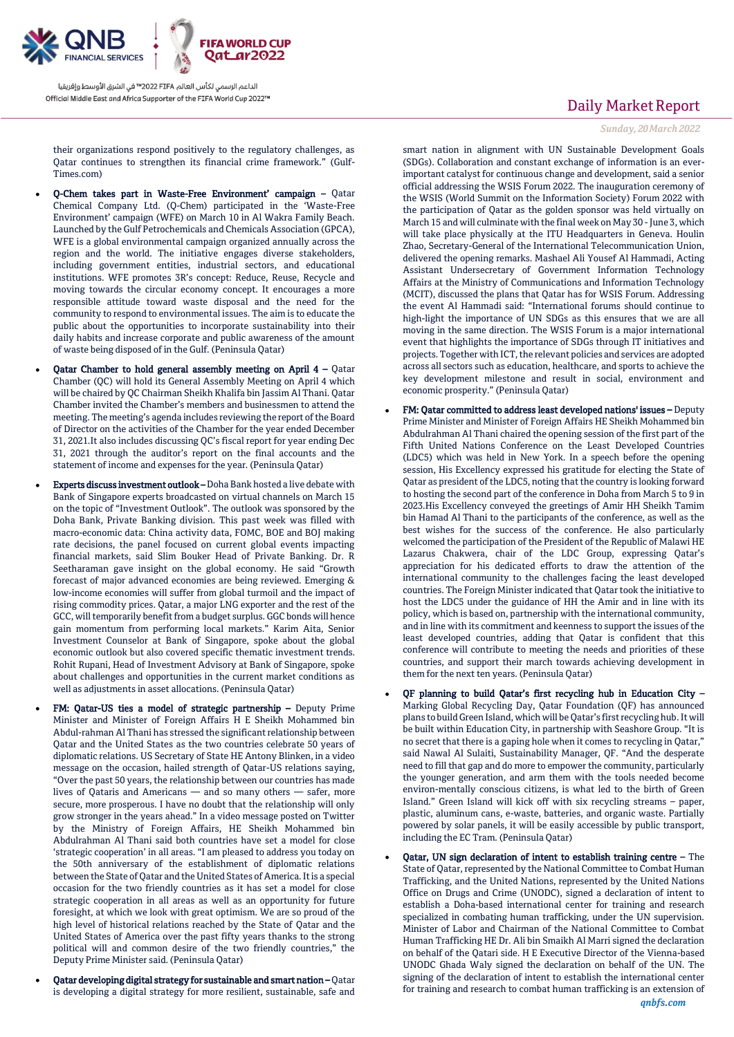

their organizations respond positively to the regulatory challenges, as Qatar continues to strengthen its financial crime framework." (Gulf-Times.com)

- Q-Chem takes part in Waste-Free Environment' campaign Qatar Chemical Company Ltd. (Q-Chem) participated in the 'Waste-Free Environment' campaign (WFE) on March 10 in Al Wakra Family Beach. Launched by the Gulf Petrochemicals and Chemicals Association (GPCA), WFE is a global environmental campaign organized annually across the region and the world. The initiative engages diverse stakeholders, including government entities, industrial sectors, and educational institutions. WFE promotes 3R's concept: Reduce, Reuse, Recycle and moving towards the circular economy concept. It encourages a more responsible attitude toward waste disposal and the need for the community to respond to environmental issues. The aim is to educate the public about the opportunities to incorporate sustainability into their daily habits and increase corporate and public awareness of the amount of waste being disposed of in the Gulf. (Peninsula Qatar)
- Qatar Chamber to hold general assembly meeting on April 4 Qatar Chamber (QC) will hold its General Assembly Meeting on April 4 which will be chaired by QC Chairman Sheikh Khalifa bin Jassim Al Thani. Qatar Chamber invited the Chamber's members and businessmen to attend the meeting. The meeting's agenda includes reviewing the report of the Board of Director on the activities of the Chamber for the year ended December 31, 2021.It also includes discussing QC's fiscal report for year ending Dec 31, 2021 through the auditor's report on the final accounts and the statement of income and expenses for the year. (Peninsula Qatar)
- Experts discuss investment outlook Doha Bank hosted a live debate with Bank of Singapore experts broadcasted on virtual channels on March 15 on the topic of "Investment Outlook". The outlook was sponsored by the Doha Bank, Private Banking division. This past week was filled with macro-economic data: China activity data, FOMC, BOE and BOJ making rate decisions, the panel focused on current global events impacting financial markets, said Slim Bouker Head of Private Banking. Dr. R Seetharaman gave insight on the global economy. He said "Growth forecast of major advanced economies are being reviewed. Emerging & low-income economies will suffer from global turmoil and the impact of rising commodity prices. Qatar, a major LNG exporter and the rest of the GCC, will temporarily benefit from a budget surplus. GGC bonds will hence gain momentum from performing local markets." Karim Aita, Senior Investment Counselor at Bank of Singapore, spoke about the global economic outlook but also covered specific thematic investment trends. Rohit Rupani, Head of Investment Advisory at Bank of Singapore, spoke about challenges and opportunities in the current market conditions as well as adjustments in asset allocations. (Peninsula Qatar)
	- FM: Qatar-US ties a model of strategic partnership Deputy Prime Minister and Minister of Foreign Affairs H E Sheikh Mohammed bin Abdul-rahman Al Thani has stressed the significant relationship between Qatar and the United States as the two countries celebrate 50 years of diplomatic relations. US Secretary of State HE Antony Blinken, in a video message on the occasion, hailed strength of Qatar-US relations saying, "Over the past 50 years, the relationship between our countries has made lives of Qataris and Americans — and so many others — safer, more secure, more prosperous. I have no doubt that the relationship will only grow stronger in the years ahead." In a video message posted on Twitter by the Ministry of Foreign Affairs, HE Sheikh Mohammed bin Abdulrahman Al Thani said both countries have set a model for close 'strategic cooperation' in all areas. "I am pleased to address you today on the 50th anniversary of the establishment of diplomatic relations between the State of Qatar and the United States of America. It is a special occasion for the two friendly countries as it has set a model for close strategic cooperation in all areas as well as an opportunity for future foresight, at which we look with great optimism. We are so proud of the high level of historical relations reached by the State of Qatar and the United States of America over the past fifty years thanks to the strong political will and common desire of the two friendly countries," the Deputy Prime Minister said. (Peninsula Qatar)
	- Qatar developing digital strategy for sustainable and smart nation Qatar is developing a digital strategy for more resilient, sustainable, safe and

## Daily Market Report

#### *Sunday, 20March2022*

smart nation in alignment with UN Sustainable Development Goals (SDGs). Collaboration and constant exchange of information is an everimportant catalyst for continuous change and development, said a senior official addressing the WSIS Forum 2022. The inauguration ceremony of the WSIS (World Summit on the Information Society) Forum 2022 with the participation of Qatar as the golden sponsor was held virtually on March 15 and will culminate with the final week on May 30 - June 3, which will take place physically at the ITU Headquarters in Geneva. Houlin Zhao, Secretary-General of the International Telecommunication Union, delivered the opening remarks. Mashael Ali Yousef Al Hammadi, Acting Assistant Undersecretary of Government Information Technology Affairs at the Ministry of Communications and Information Technology (MCIT), discussed the plans that Qatar has for WSIS Forum. Addressing the event Al Hammadi said: "International forums should continue to high-light the importance of UN SDGs as this ensures that we are all moving in the same direction. The WSIS Forum is a major international event that highlights the importance of SDGs through IT initiatives and projects. Together with ICT, the relevant policies and services are adopted across all sectors such as education, healthcare, and sports to achieve the key development milestone and result in social, environment and economic prosperity." (Peninsula Qatar)

- FM: Qatar committed to address least developed nations' issues Deputy Prime Minister and Minister of Foreign Affairs HE Sheikh Mohammed bin Abdulrahman Al Thani chaired the opening session of the first part of the Fifth United Nations Conference on the Least Developed Countries (LDC5) which was held in New York. In a speech before the opening session, His Excellency expressed his gratitude for electing the State of Qatar as president of the LDC5, noting that the country is looking forward to hosting the second part of the conference in Doha from March 5 to 9 in 2023.His Excellency conveyed the greetings of Amir HH Sheikh Tamim bin Hamad Al Thani to the participants of the conference, as well as the best wishes for the success of the conference. He also particularly welcomed the participation of the President of the Republic of Malawi HE Lazarus Chakwera, chair of the LDC Group, expressing Qatar's appreciation for his dedicated efforts to draw the attention of the international community to the challenges facing the least developed countries. The Foreign Minister indicated that Qatar took the initiative to host the LDC5 under the guidance of HH the Amir and in line with its policy, which is based on, partnership with the international community, and in line with its commitment and keenness to support the issues of the least developed countries, adding that Qatar is confident that this conference will contribute to meeting the needs and priorities of these countries, and support their march towards achieving development in them for the next ten years. (Peninsula Qatar)
- QF planning to build Qatar's first recycling hub in Education City Marking Global Recycling Day, Qatar Foundation (QF) has announced plans to build Green Island, which will be Qatar's first recycling hub. It will be built within Education City, in partnership with Seashore Group. "It is no secret that there is a gaping hole when it comes to recycling in Qatar," said Nawal Al Sulaiti, Sustainability Manager, QF. "And the desperate need to fill that gap and do more to empower the community, particularly the younger generation, and arm them with the tools needed become environ-mentally conscious citizens, is what led to the birth of Green Island." Green Island will kick off with six recycling streams – paper, plastic, aluminum cans, e-waste, batteries, and organic waste. Partially powered by solar panels, it will be easily accessible by public transport, including the EC Tram. (Peninsula Qatar)
- Qatar, UN sign declaration of intent to establish training centre The State of Qatar, represented by the National Committee to Combat Human Trafficking, and the United Nations, represented by the United Nations Office on Drugs and Crime (UNODC), signed a declaration of intent to establish a Doha-based international center for training and research specialized in combating human trafficking, under the UN supervision. Minister of Labor and Chairman of the National Committee to Combat Human Trafficking HE Dr. Ali bin Smaikh Al Marri signed the declaration on behalf of the Qatari side. H E Executive Director of the Vienna-based UNODC Ghada Waly signed the declaration on behalf of the UN. The signing of the declaration of intent to establish the international center for training and research to combat human trafficking is an extension of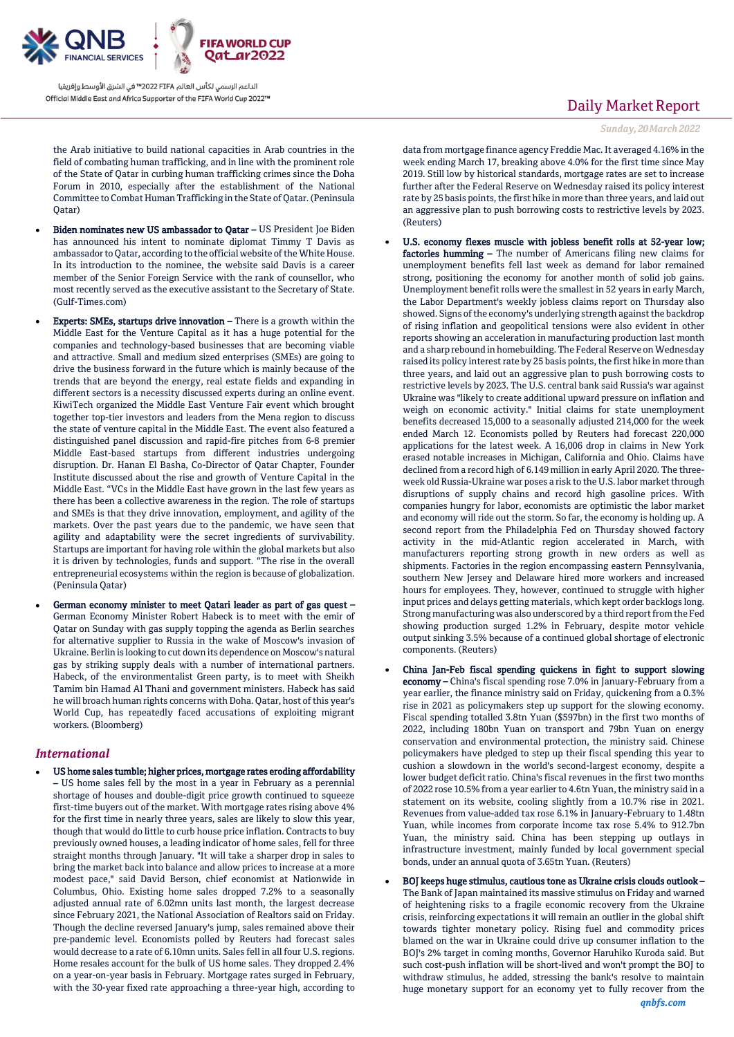

the Arab initiative to build national capacities in Arab countries in the field of combating human trafficking, and in line with the prominent role of the State of Qatar in curbing human trafficking crimes since the Doha Forum in 2010, especially after the establishment of the National Committee to Combat Human Trafficking in the State of Qatar. (Peninsula Qatar)

- Biden nominates new US ambassador to Qatar US President Joe Biden has announced his intent to nominate diplomat Timmy T Davis as ambassador to Qatar, according to the official website of the White House. In its introduction to the nominee, the website said Davis is a career member of the Senior Foreign Service with the rank of counsellor, who most recently served as the executive assistant to the Secretary of State. (Gulf-Times.com)
- Experts: SMEs, startups drive innovation There is a growth within the Middle East for the Venture Capital as it has a huge potential for the companies and technology-based businesses that are becoming viable and attractive. Small and medium sized enterprises (SMEs) are going to drive the business forward in the future which is mainly because of the trends that are beyond the energy, real estate fields and expanding in different sectors is a necessity discussed experts during an online event. KiwiTech organized the Middle East Venture Fair event which brought together top-tier investors and leaders from the Mena region to discuss the state of venture capital in the Middle East. The event also featured a distinguished panel discussion and rapid-fire pitches from 6-8 premier Middle East-based startups from different industries undergoing disruption. Dr. Hanan El Basha, Co-Director of Qatar Chapter, Founder Institute discussed about the rise and growth of Venture Capital in the Middle East. "VCs in the Middle East have grown in the last few years as there has been a collective awareness in the region. The role of startups and SMEs is that they drive innovation, employment, and agility of the markets. Over the past years due to the pandemic, we have seen that agility and adaptability were the secret ingredients of survivability. Startups are important for having role within the global markets but also it is driven by technologies, funds and support. "The rise in the overall entrepreneurial ecosystems within the region is because of globalization. (Peninsula Qatar)
- German economy minister to meet Qatari leader as part of gas quest German Economy Minister Robert Habeck is to meet with the emir of Qatar on Sunday with gas supply topping the agenda as Berlin searches for alternative supplier to Russia in the wake of Moscow's invasion of Ukraine. Berlin is looking to cut down its dependence on Moscow's natural gas by striking supply deals with a number of international partners. Habeck, of the environmentalist Green party, is to meet with Sheikh Tamim bin Hamad Al Thani and government ministers. Habeck has said he will broach human rights concerns with Doha. Qatar, host of this year's World Cup, has repeatedly faced accusations of exploiting migrant workers. (Bloomberg)

#### *International*

 US home sales tumble; higher prices, mortgage rates eroding affordability – US home sales fell by the most in a year in February as a perennial shortage of houses and double-digit price growth continued to squeeze first-time buyers out of the market. With mortgage rates rising above 4% for the first time in nearly three years, sales are likely to slow this year, though that would do little to curb house price inflation. Contracts to buy previously owned houses, a leading indicator of home sales, fell for three straight months through January. "It will take a sharper drop in sales to bring the market back into balance and allow prices to increase at a more modest pace," said David Berson, chief economist at Nationwide in Columbus, Ohio. Existing home sales dropped 7.2% to a seasonally adjusted annual rate of 6.02mn units last month, the largest decrease since February 2021, the National Association of Realtors said on Friday. Though the decline reversed January's jump, sales remained above their pre-pandemic level. Economists polled by Reuters had forecast sales would decrease to a rate of 6.10mn units. Sales fell in all four U.S. regions. Home resales account for the bulk of US home sales. They dropped 2.4% on a year-on-year basis in February. Mortgage rates surged in February, with the 30-year fixed rate approaching a three-year high, according to

# Daily Market Report

*Sunday, 20March2022*

data from mortgage finance agency Freddie Mac. It averaged 4.16% in the week ending March 17, breaking above 4.0% for the first time since May 2019. Still low by historical standards, mortgage rates are set to increase further after the Federal Reserve on Wednesday raised its policy interest rate by 25 basis points, the first hike in more than three years, and laid out an aggressive plan to push borrowing costs to restrictive levels by 2023. (Reuters)

- U.S. economy flexes muscle with jobless benefit rolls at 52-year low; factories humming – The number of Americans filing new claims for unemployment benefits fell last week as demand for labor remained strong, positioning the economy for another month of solid job gains. Unemployment benefit rolls were the smallest in 52 years in early March, the Labor Department's weekly jobless claims report on Thursday also showed. Signs of the economy's underlying strength against the backdrop of rising inflation and geopolitical tensions were also evident in other reports showing an acceleration in manufacturing production last month and a sharp rebound in homebuilding. The Federal Reserve on Wednesday raised its policy interest rate by 25 basis points, the first hike in more than three years, and laid out an aggressive plan to push borrowing costs to restrictive levels by 2023. The U.S. central bank said Russia's war against Ukraine was "likely to create additional upward pressure on inflation and weigh on economic activity." Initial claims for state unemployment benefits decreased 15,000 to a seasonally adjusted 214,000 for the week ended March 12. Economists polled by Reuters had forecast 220,000 applications for the latest week. A 16,006 drop in claims in New York erased notable increases in Michigan, California and Ohio. Claims have declined from a record high of 6.149 million in early April 2020. The threeweek old Russia-Ukraine war poses a risk to the U.S. labor market through disruptions of supply chains and record high gasoline prices. With companies hungry for labor, economists are optimistic the labor market and economy will ride out the storm. So far, the economy is holding up. A second report from the Philadelphia Fed on Thursday showed factory activity in the mid-Atlantic region accelerated in March, with manufacturers reporting strong growth in new orders as well as shipments. Factories in the region encompassing eastern Pennsylvania, southern New Jersey and Delaware hired more workers and increased hours for employees. They, however, continued to struggle with higher input prices and delays getting materials, which kept order backlogs long. Strong manufacturing was also underscored by a third report from the Fed showing production surged 1.2% in February, despite motor vehicle output sinking 3.5% because of a continued global shortage of electronic components. (Reuters)
- China Jan-Feb fiscal spending quickens in fight to support slowing economy – China's fiscal spending rose 7.0% in January-February from a year earlier, the finance ministry said on Friday, quickening from a 0.3% rise in 2021 as policymakers step up support for the slowing economy. Fiscal spending totalled 3.8tn Yuan (\$597bn) in the first two months of 2022, including 180bn Yuan on transport and 79bn Yuan on energy conservation and environmental protection, the ministry said. Chinese policymakers have pledged to step up their fiscal spending this year to cushion a slowdown in the world's second-largest economy, despite a lower budget deficit ratio. China's fiscal revenues in the first two months of 2022 rose 10.5% from a year earlier to 4.6tn Yuan, the ministry said in a statement on its website, cooling slightly from a 10.7% rise in 2021. Revenues from value-added tax rose 6.1% in January-February to 1.48tn Yuan, while incomes from corporate income tax rose 5.4% to 912.7bn Yuan, the ministry said. China has been stepping up outlays in infrastructure investment, mainly funded by local government special bonds, under an annual quota of 3.65tn Yuan. (Reuters)
- BOJ keeps huge stimulus, cautious tone as Ukraine crisis clouds outlook The Bank of Japan maintained its massive stimulus on Friday and warned of heightening risks to a fragile economic recovery from the Ukraine crisis, reinforcing expectations it will remain an outlier in the global shift towards tighter monetary policy. Rising fuel and commodity prices blamed on the war in Ukraine could drive up consumer inflation to the BOJ's 2% target in coming months, Governor Haruhiko Kuroda said. But such cost-push inflation will be short-lived and won't prompt the BOJ to withdraw stimulus, he added, stressing the bank's resolve to maintain huge monetary support for an economy yet to fully recover from the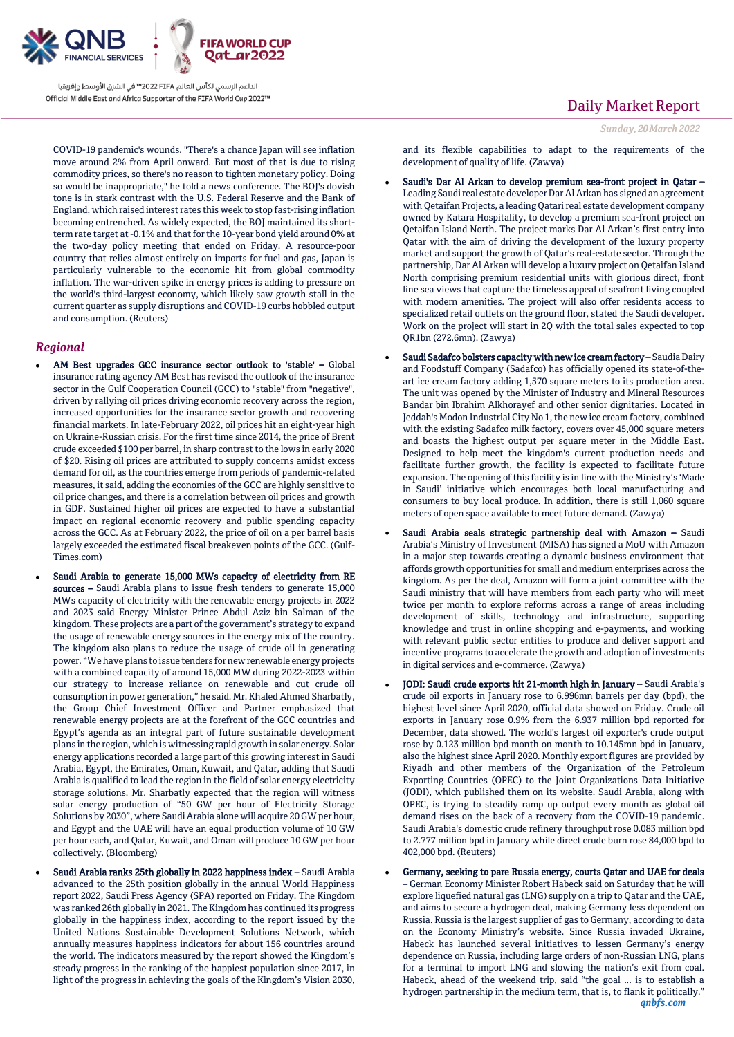

COVID-19 pandemic's wounds. "There's a chance Japan will see inflation move around 2% from April onward. But most of that is due to rising commodity prices, so there's no reason to tighten monetary policy. Doing so would be inappropriate," he told a news conference. The BOJ's dovish tone is in stark contrast with the U.S. Federal Reserve and the Bank of England, which raised interest rates this week to stop fast-rising inflation becoming entrenched. As widely expected, the BOJ maintained its shortterm rate target at -0.1% and that for the 10-year bond yield around 0% at the two-day policy meeting that ended on Friday. A resource-poor country that relies almost entirely on imports for fuel and gas, Japan is particularly vulnerable to the economic hit from global commodity inflation. The war-driven spike in energy prices is adding to pressure on the world's third-largest economy, which likely saw growth stall in the current quarter as supply disruptions and COVID-19 curbs hobbled output and consumption. (Reuters)

#### *Regional*

- AM Best upgrades GCC insurance sector outlook to 'stable' Global insurance rating agency AM Best has revised the outlook of the insurance sector in the Gulf Cooperation Council (GCC) to "stable" from "negative", driven by rallying oil prices driving economic recovery across the region, increased opportunities for the insurance sector growth and recovering financial markets. In late-February 2022, oil prices hit an eight-year high on Ukraine-Russian crisis. For the first time since 2014, the price of Brent crude exceeded \$100 per barrel, in sharp contrast to the lows in early 2020 of \$20. Rising oil prices are attributed to supply concerns amidst excess demand for oil, as the countries emerge from periods of pandemic-related measures, it said, adding the economies of the GCC are highly sensitive to oil price changes, and there is a correlation between oil prices and growth in GDP. Sustained higher oil prices are expected to have a substantial impact on regional economic recovery and public spending capacity across the GCC. As at February 2022, the price of oil on a per barrel basis largely exceeded the estimated fiscal breakeven points of the GCC. (Gulf-Times.com)
- Saudi Arabia to generate 15,000 MWs capacity of electricity from RE sources – Saudi Arabia plans to issue fresh tenders to generate 15,000 MWs capacity of electricity with the renewable energy projects in 2022 and 2023 said Energy Minister Prince Abdul Aziz bin Salman of the kingdom. These projects are a part of the government's strategy to expand the usage of renewable energy sources in the energy mix of the country. The kingdom also plans to reduce the usage of crude oil in generating power. "We have plans to issue tenders for new renewable energy projects with a combined capacity of around 15,000 MW during 2022-2023 within our strategy to increase reliance on renewable and cut crude oil consumption in power generation," he said. Mr. Khaled Ahmed Sharbatly, the Group Chief Investment Officer and Partner emphasized that renewable energy projects are at the forefront of the GCC countries and Egypt's agenda as an integral part of future sustainable development plans in the region, which is witnessing rapid growth in solar energy. Solar energy applications recorded a large part of this growing interest in Saudi Arabia, Egypt, the Emirates, Oman, Kuwait, and Qatar, adding that Saudi Arabia is qualified to lead the region in the field of solar energy electricity storage solutions. Mr. Sharbatly expected that the region will witness solar energy production of "50 GW per hour of Electricity Storage Solutions by 2030", where Saudi Arabia alone will acquire 20 GW per hour, and Egypt and the UAE will have an equal production volume of 10 GW per hour each, and Qatar, Kuwait, and Oman will produce 10 GW per hour collectively. (Bloomberg)
- Saudi Arabia ranks 25th globally in 2022 happiness index Saudi Arabia advanced to the 25th position globally in the annual World Happiness report 2022, Saudi Press Agency (SPA) reported on Friday. The Kingdom was ranked 26th globally in 2021. The Kingdom has continued its progress globally in the happiness index, according to the report issued by the United Nations Sustainable Development Solutions Network, which annually measures happiness indicators for about 156 countries around the world. The indicators measured by the report showed the Kingdom's steady progress in the ranking of the happiest population since 2017, in light of the progress in achieving the goals of the Kingdom's Vision 2030,

## Daily Market Report

```
Sunday, 20March2022
```
and its flexible capabilities to adapt to the requirements of the development of quality of life. (Zawya)

- Saudi's Dar Al Arkan to develop premium sea-front project in Qatar Leading Saudi real estate developer Dar Al Arkan has signed an agreement with Qetaifan Projects, a leading Qatari real estate development company owned by Katara Hospitality, to develop a premium sea-front project on Qetaifan Island North. The project marks Dar Al Arkan's first entry into Qatar with the aim of driving the development of the luxury property market and support the growth of Qatar's real-estate sector. Through the partnership, Dar Al Arkan will develop a luxury project on Qetaifan Island North comprising premium residential units with glorious direct, front line sea views that capture the timeless appeal of seafront living coupled with modern amenities. The project will also offer residents access to specialized retail outlets on the ground floor, stated the Saudi developer. Work on the project will start in 2Q with the total sales expected to top QR1bn (272.6mn). (Zawya)
- Saudi Sadafco bolsters capacity with new ice cream factory Saudia Dairy and Foodstuff Company (Sadafco) has officially opened its state-of-theart ice cream factory adding 1,570 square meters to its production area. The unit was opened by the Minister of Industry and Mineral Resources Bandar bin Ibrahim Alkhorayef and other senior dignitaries. Located in Jeddah's Modon Industrial City No 1, the new ice cream factory, combined with the existing Sadafco milk factory, covers over 45,000 square meters and boasts the highest output per square meter in the Middle East. Designed to help meet the kingdom's current production needs and facilitate further growth, the facility is expected to facilitate future expansion. The opening of this facility is in line with the Ministry's 'Made in Saudi' initiative which encourages both local manufacturing and consumers to buy local produce. In addition, there is still 1,060 square meters of open space available to meet future demand. (Zawya)
- Saudi Arabia seals strategic partnership deal with Amazon Saudi Arabia's Ministry of Investment (MISA) has signed a MoU with Amazon in a major step towards creating a dynamic business environment that affords growth opportunities for small and medium enterprises across the kingdom. As per the deal, Amazon will form a joint committee with the Saudi ministry that will have members from each party who will meet twice per month to explore reforms across a range of areas including development of skills, technology and infrastructure, supporting knowledge and trust in online shopping and e-payments, and working with relevant public sector entities to produce and deliver support and incentive programs to accelerate the growth and adoption of investments in digital services and e-commerce. (Zawya)
- JODI: Saudi crude exports hit 21-month high in January Saudi Arabia's crude oil exports in January rose to 6.996mn barrels per day (bpd), the highest level since April 2020, official data showed on Friday. Crude oil exports in January rose 0.9% from the 6.937 million bpd reported for December, data showed. The world's largest oil exporter's crude output rose by 0.123 million bpd month on month to 10.145mn bpd in January, also the highest since April 2020. Monthly export figures are provided by Riyadh and other members of the Organization of the Petroleum Exporting Countries (OPEC) to the Joint Organizations Data Initiative (JODI), which published them on its website. Saudi Arabia, along with OPEC, is trying to steadily ramp up output every month as global oil demand rises on the back of a recovery from the COVID-19 pandemic. Saudi Arabia's domestic crude refinery throughput rose 0.083 million bpd to 2.777 million bpd in January while direct crude burn rose 84,000 bpd to 402,000 bpd. (Reuters)
- Germany, seeking to pare Russia energy, courts Qatar and UAE for deals – German Economy Minister Robert Habeck said on Saturday that he will explore liquefied natural gas (LNG) supply on a trip to Qatar and the UAE, and aims to secure a hydrogen deal, making Germany less dependent on Russia. Russia is the largest supplier of gas to Germany, according to data on the Economy Ministry's website. Since Russia invaded Ukraine, Habeck has launched several initiatives to lessen Germany's energy dependence on Russia, including large orders of non-Russian LNG, plans for a terminal to import LNG and slowing the nation's exit from coal. Habeck, ahead of the weekend trip, said "the goal ... is to establish a hydrogen partnership in the medium term, that is, to flank it politically."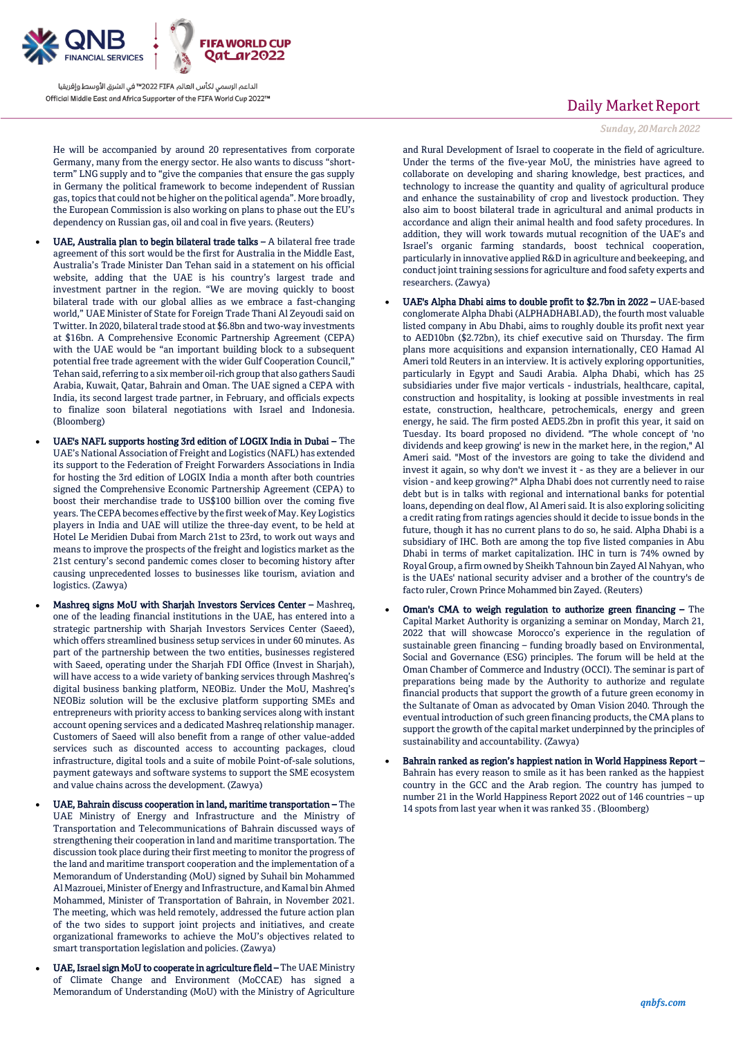

He will be accompanied by around 20 representatives from corporate Germany, many from the energy sector. He also wants to discuss "shortterm" LNG supply and to "give the companies that ensure the gas supply in Germany the political framework to become independent of Russian gas, topics that could not be higher on the political agenda". More broadly, the European Commission is also working on plans to phase out the EU's dependency on Russian gas, oil and coal in five years. (Reuters)

- UAE, Australia plan to begin bilateral trade talks A bilateral free trade agreement of this sort would be the first for Australia in the Middle East, Australia's Trade Minister Dan Tehan said in a statement on his official website, adding that the UAE is his country's largest trade and investment partner in the region. "We are moving quickly to boost bilateral trade with our global allies as we embrace a fast-changing world," UAE Minister of State for Foreign Trade Thani Al Zeyoudi said on Twitter. In 2020, bilateral trade stood at \$6.8bn and two-way investments at \$16bn. A Comprehensive Economic Partnership Agreement (CEPA) with the UAE would be "an important building block to a subsequent potential free trade agreement with the wider Gulf Cooperation Council," Tehan said, referring to a six member oil-rich group that also gathers Saudi Arabia, Kuwait, Qatar, Bahrain and Oman. The UAE signed a CEPA with India, its second largest trade partner, in February, and officials expects to finalize soon bilateral negotiations with Israel and Indonesia. (Bloomberg)
- UAE's NAFL supports hosting 3rd edition of LOGIX India in Dubai The UAE's National Association of Freight and Logistics (NAFL) has extended its support to the Federation of Freight Forwarders Associations in India for hosting the 3rd edition of LOGIX India a month after both countries signed the Comprehensive Economic Partnership Agreement (CEPA) to boost their merchandise trade to US\$100 billion over the coming five years. The CEPA becomes effective by the first week of May. Key Logistics players in India and UAE will utilize the three-day event, to be held at Hotel Le Meridien Dubai from March 21st to 23rd, to work out ways and means to improve the prospects of the freight and logistics market as the 21st century's second pandemic comes closer to becoming history after causing unprecedented losses to businesses like tourism, aviation and logistics. (Zawya)
- Mashreq signs MoU with Sharjah Investors Services Center Mashreq, one of the leading financial institutions in the UAE, has entered into a strategic partnership with Sharjah Investors Services Center (Saeed), which offers streamlined business setup services in under 60 minutes. As part of the partnership between the two entities, businesses registered with Saeed, operating under the Sharjah FDI Office (Invest in Sharjah), will have access to a wide variety of banking services through Mashreq's digital business banking platform, NEOBiz. Under the MoU, Mashreq's NEOBiz solution will be the exclusive platform supporting SMEs and entrepreneurs with priority access to banking services along with instant account opening services and a dedicated Mashreq relationship manager. Customers of Saeed will also benefit from a range of other value-added services such as discounted access to accounting packages, cloud infrastructure, digital tools and a suite of mobile Point-of-sale solutions, payment gateways and software systems to support the SME ecosystem and value chains across the development. (Zawya)
- UAE, Bahrain discuss cooperation in land, maritime transportation The UAE Ministry of Energy and Infrastructure and the Ministry of Transportation and Telecommunications of Bahrain discussed ways of strengthening their cooperation in land and maritime transportation. The discussion took place during their first meeting to monitor the progress of the land and maritime transport cooperation and the implementation of a Memorandum of Understanding (MoU) signed by Suhail bin Mohammed Al Mazrouei, Minister of Energy and Infrastructure, and Kamal bin Ahmed Mohammed, Minister of Transportation of Bahrain, in November 2021. The meeting, which was held remotely, addressed the future action plan of the two sides to support joint projects and initiatives, and create organizational frameworks to achieve the MoU's objectives related to smart transportation legislation and policies. (Zawya)
- UAE, Israel sign MoU to cooperate in agriculture field The UAE Ministry of Climate Change and Environment (MoCCAE) has signed a Memorandum of Understanding (MoU) with the Ministry of Agriculture

## Daily Market Report

#### *Sunday, 20March2022*

and Rural Development of Israel to cooperate in the field of agriculture. Under the terms of the five-year MoU, the ministries have agreed to collaborate on developing and sharing knowledge, best practices, and technology to increase the quantity and quality of agricultural produce and enhance the sustainability of crop and livestock production. They also aim to boost bilateral trade in agricultural and animal products in accordance and align their animal health and food safety procedures. In addition, they will work towards mutual recognition of the UAE's and Israel's organic farming standards, boost technical cooperation, particularly in innovative applied R&D in agriculture and beekeeping, and conduct joint training sessions for agriculture and food safety experts and researchers. (Zawya)

- UAE's Alpha Dhabi aims to double profit to \$2.7bn in 2022 UAE-based conglomerate Alpha Dhabi (ALPHADHABI.AD), the fourth most valuable listed company in Abu Dhabi, aims to roughly double its profit next year to AED10bn (\$2.72bn), its chief executive said on Thursday. The firm plans more acquisitions and expansion internationally, CEO Hamad Al Ameri told Reuters in an interview. It is actively exploring opportunities, particularly in Egypt and Saudi Arabia. Alpha Dhabi, which has 25 subsidiaries under five major verticals - industrials, healthcare, capital, construction and hospitality, is looking at possible investments in real estate, construction, healthcare, petrochemicals, energy and green energy, he said. The firm posted AED5.2bn in profit this year, it said on Tuesday. Its board proposed no dividend. "The whole concept of 'no dividends and keep growing' is new in the market here, in the region," Al Ameri said. "Most of the investors are going to take the dividend and invest it again, so why don't we invest it - as they are a believer in our vision - and keep growing?" Alpha Dhabi does not currently need to raise debt but is in talks with regional and international banks for potential loans, depending on deal flow, Al Ameri said. It is also exploring soliciting a credit rating from ratings agencies should it decide to issue bonds in the future, though it has no current plans to do so, he said. Alpha Dhabi is a subsidiary of IHC. Both are among the top five listed companies in Abu Dhabi in terms of market capitalization. IHC in turn is 74% owned by Royal Group, a firm owned by Sheikh Tahnoun bin Zayed Al Nahyan, who is the UAEs' national security adviser and a brother of the country's de facto ruler, Crown Prince Mohammed bin Zayed. (Reuters)
- Oman's CMA to weigh regulation to authorize green financing The Capital Market Authority is organizing a seminar on Monday, March 21, 2022 that will showcase Morocco's experience in the regulation of sustainable green financing – funding broadly based on Environmental, Social and Governance (ESG) principles. The forum will be held at the Oman Chamber of Commerce and Industry (OCCI). The seminar is part of preparations being made by the Authority to authorize and regulate financial products that support the growth of a future green economy in the Sultanate of Oman as advocated by Oman Vision 2040. Through the eventual introduction of such green financing products, the CMA plans to support the growth of the capital market underpinned by the principles of sustainability and accountability. (Zawya)
- Bahrain ranked as region's happiest nation in World Happiness Report Bahrain has every reason to smile as it has been ranked as the happiest country in the GCC and the Arab region. The country has jumped to number 21 in the World Happiness Report 2022 out of 146 countries – up 14 spots from last year when it was ranked 35 . (Bloomberg)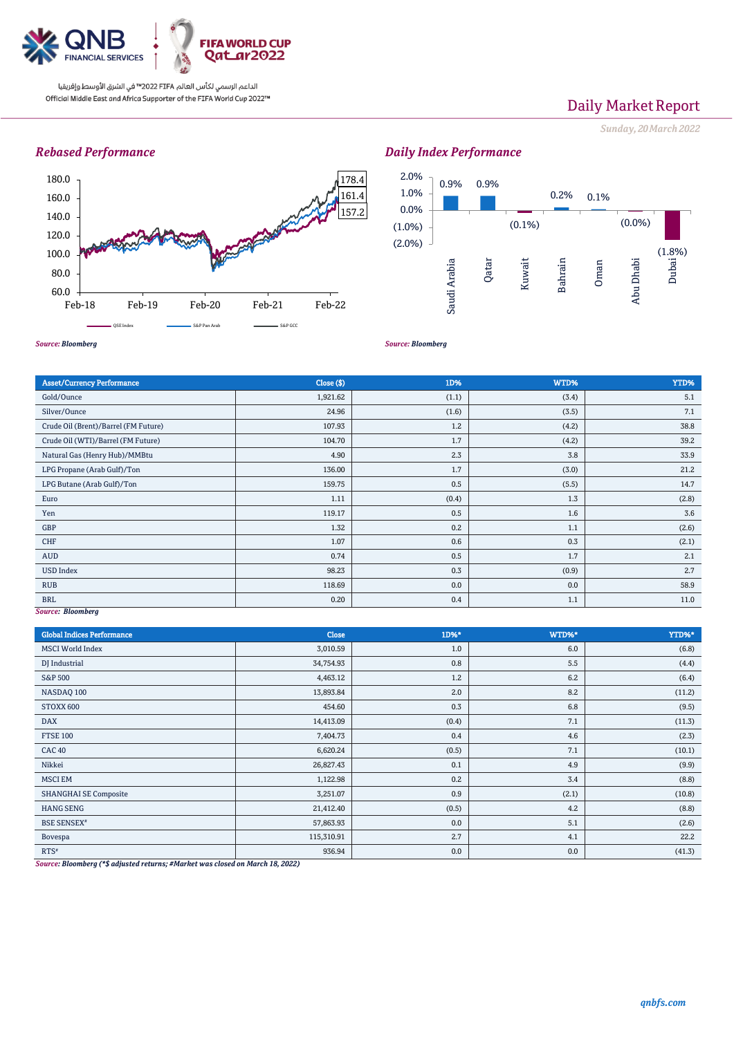

# Daily Market Report

*Sunday, 20March2022*

## *Rebased Performance*



## *Daily Index Performance*



*Source: Bloomberg*

Asset/Currency Performance Close (\$) 1D% WTD% YTD% Gold/Ounce  $1,921.62$   $1,921.62$   $(1.1)$   $(3.4)$   $(3.4)$   $(3.4)$ Silver/Ounce  $24.96$   $24.96$   $24.96$   $(1.6)$   $(3.5)$   $(3.5)$   $(3.5)$ Crude Oil (Brent)/Barrel (FM Future) 107.93 1.2 (4.2) 38.8 Crude Oil (WTI)/Barrel (FM Future) 104.70 104.70 1.7 (4.2) 4.2) 39.2 Natural Gas (Henry Hub)/MMBtu 4.90 2.3 3.8 33.9 LPG Propane (Arab Gulf)/Ton 21.2 LPG Butane (Arab Gulf)/Ton 14.7 (5.5) 14.7 Euro 1.3 (2.8)  $1.11$  (0.4)  $1.3$  (2.8) Yen 119.17 | 19.17 | 19.17 | 19.17 | 19.5 | 19.18 | 19.18 | 19.18 | 19.18 | 19.18 | 19.18 | 19.18 | 19.18 | 19 GBP  $1.32$   $1.32$   $0.2$   $1.1$   $1.1$   $1.3$   $1.1$   $1.3$   $1.3$ CHF  $1.07$   $0.6$   $0.3$   $0.3$   $0.3$   $0.3$   $0.3$   $0.3$   $0.3$   $0.3$   $0.3$   $0.3$   $0.3$   $0.3$   $0.3$   $0.3$   $0.3$   $0.3$   $0.3$   $0.3$   $0.3$   $0.3$   $0.3$   $0.3$   $0.3$   $0.3$   $0.3$   $0.3$   $0.3$   $0.3$   $0.3$   $0.3$   $0.3$   $0.3$   $0.3$   $0.3$  AUD  $0.74$   $0.74$   $0.5$   $0.5$   $1.7$   $1.7$ USD Index  $98.23$   $98.23$   $0.3$   $0.9$   $0.9$   $2.7$ RUB 118.69  $\vert$  58.9  $\vert$  58.9  $\vert$  58.9  $\vert$  58.9  $\vert$  58.9  $\vert$  58.9  $\vert$  58.9  $\vert$  58.9  $\vert$  58.9  $\vert$  58.9  $\vert$  58.9  $\vert$  58.9  $\vert$  58.9  $\vert$  58.9  $\vert$  58.9  $\vert$  58.9  $\vert$  58.9  $\vert$  58.9  $\vert$  58.9  $\vert$  58.9  $\vert$  58.9 BRL  $0.20$   $0.4$   $0.4$   $1.1$   $1.1$ 

*Source: Bloomberg*

## *Source: Bloomberg*

| <b>Global Indices Performance</b> | Close      | 1D%*  | WTD%* | YTD%*  |
|-----------------------------------|------------|-------|-------|--------|
| <b>MSCI</b> World Index           | 3,010.59   | 1.0   | 6.0   | (6.8)  |
| DJ Industrial                     | 34,754.93  | 0.8   | 5.5   | (4.4)  |
| S&P 500                           | 4,463.12   | 1.2   | 6.2   | (6.4)  |
| NASDAQ 100                        | 13,893.84  | 2.0   | 8.2   | (11.2) |
| STOXX 600                         | 454.60     | 0.3   | 6.8   | (9.5)  |
| <b>DAX</b>                        | 14,413.09  | (0.4) | 7.1   | (11.3) |
| <b>FTSE 100</b>                   | 7,404.73   | 0.4   | 4.6   | (2.3)  |
| <b>CAC 40</b>                     | 6,620.24   | (0.5) | 7.1   | (10.1) |
| Nikkei                            | 26,827.43  | 0.1   | 4.9   | (9.9)  |
| <b>MSCI EM</b>                    | 1,122.98   | 0.2   | 3.4   | (8.8)  |
| <b>SHANGHAI SE Composite</b>      | 3,251.07   | 0.9   | (2.1) | (10.8) |
| <b>HANG SENG</b>                  | 21,412.40  | (0.5) | 4.2   | (8.8)  |
| <b>BSE SENSEX</b> <sup>#</sup>    | 57,863.93  | 0.0   | 5.1   | (2.6)  |
| Bovespa                           | 115,310.91 | 2.7   | 4.1   | 22.2   |
| $RTS^*$<br>$\sim$ $\sim$          | 936.94     | 0.0   | 0.0   | (41.3) |

*Source: Bloomberg (\*\$ adjusted returns; #Market was closed on March 18, 2022)*